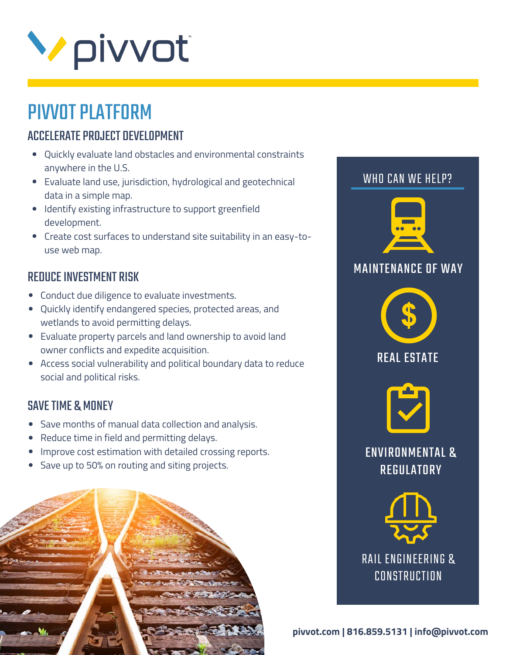

## PIVVOT PLATFORM

## ACCELERATE PROJECT DEVELOPMENT

- Quickly evaluate land obstacles and environmental constraints anywhere in the U.S.
- Evaluate land use, jurisdiction, hydrological and geotechnical data in a simple map.
- Identify existing infrastructure to support greenfield development.
- Create cost surfaces to understand site suitability in an easy-touse web map.

#### REDUCE INVESTMENT RISK

- Conduct due diligence to evaluate investments.
- Quickly identify endangered species, protected areas, and wetlands to avoid permitting delays.
- Evaluate property parcels and land ownership to avoid land owner conflicts and expedite acquisition.
- Access social vulnerability and political boundary data to reduce social and political risks.

### SAVE TIME & MONEY

- Save months of manual data collection and analysis.
- Reduce time in field and permitting delays.
- Improve cost estimation with detailed crossing reports.  $\bullet$
- Save up to 50% on routing and siting projects.